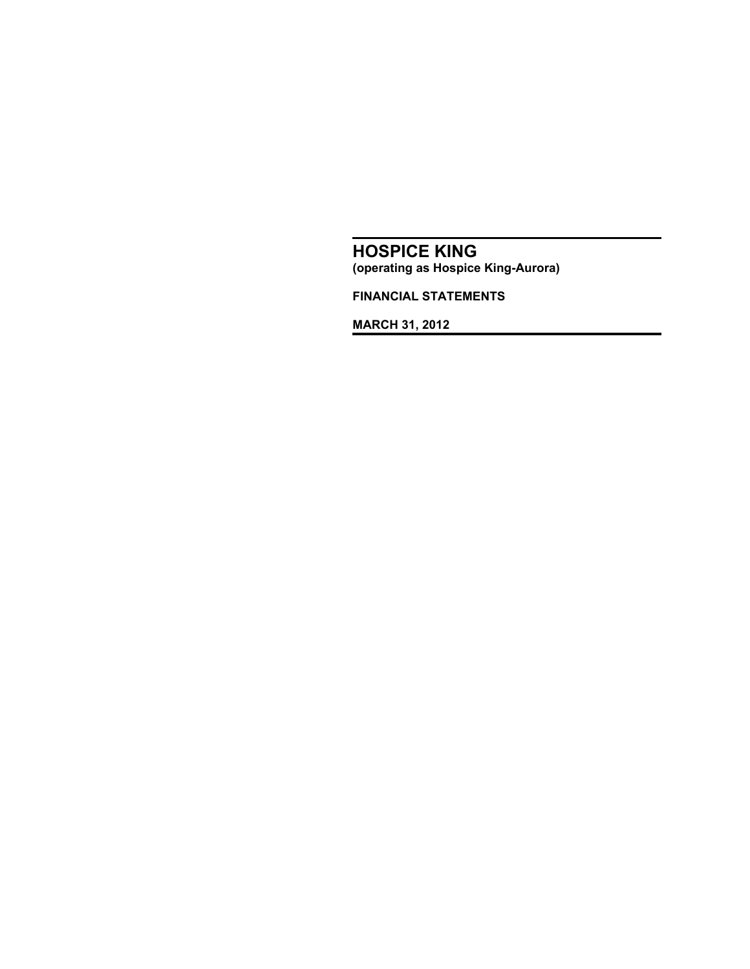# **HOSPICE KING (operating as Hospice King-Aurora)**

**FINANCIAL STATEMENTS**

**MARCH 31, 2012**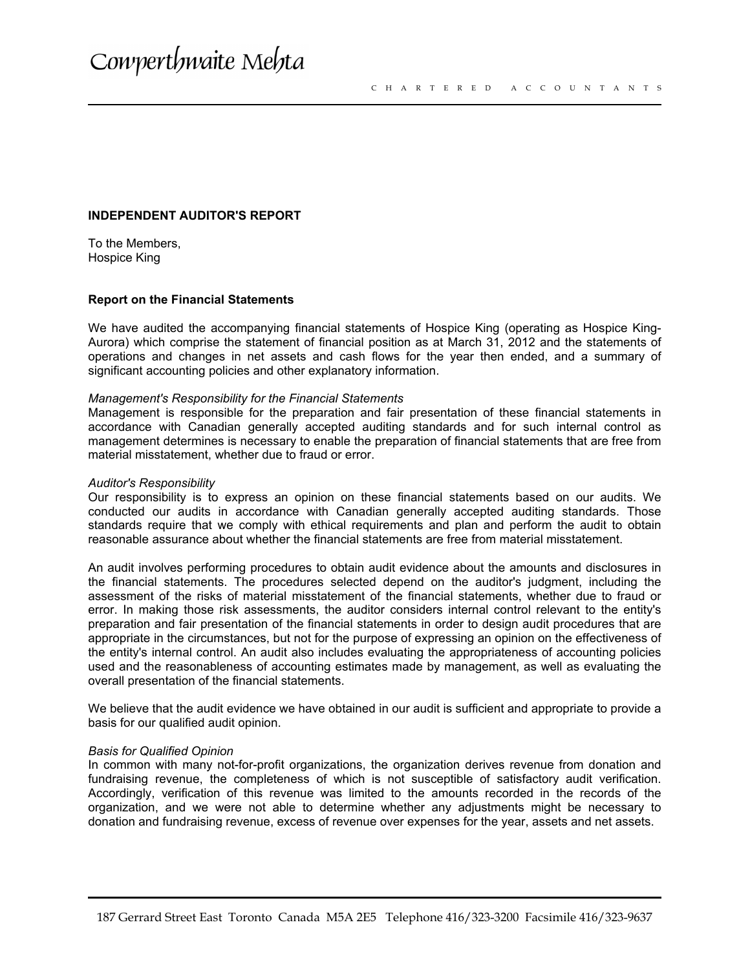## **INDEPENDENT AUDITOR'S REPORT**

To the Members, Hospice King

#### **Report on the Financial Statements**

We have audited the accompanying financial statements of Hospice King (operating as Hospice King-Aurora) which comprise the statement of financial position as at March 31, 2012 and the statements of operations and changes in net assets and cash flows for the year then ended, and a summary of significant accounting policies and other explanatory information.

#### *Management's Responsibility for the Financial Statements*

Management is responsible for the preparation and fair presentation of these financial statements in accordance with Canadian generally accepted auditing standards and for such internal control as management determines is necessary to enable the preparation of financial statements that are free from material misstatement, whether due to fraud or error.

#### *Auditor's Responsibility*

Our responsibility is to express an opinion on these financial statements based on our audits. We conducted our audits in accordance with Canadian generally accepted auditing standards. Those standards require that we comply with ethical requirements and plan and perform the audit to obtain reasonable assurance about whether the financial statements are free from material misstatement.

An audit involves performing procedures to obtain audit evidence about the amounts and disclosures in the financial statements. The procedures selected depend on the auditor's judgment, including the assessment of the risks of material misstatement of the financial statements, whether due to fraud or error. In making those risk assessments, the auditor considers internal control relevant to the entity's preparation and fair presentation of the financial statements in order to design audit procedures that are appropriate in the circumstances, but not for the purpose of expressing an opinion on the effectiveness of the entity's internal control. An audit also includes evaluating the appropriateness of accounting policies used and the reasonableness of accounting estimates made by management, as well as evaluating the overall presentation of the financial statements.

We believe that the audit evidence we have obtained in our audit is sufficient and appropriate to provide a basis for our qualified audit opinion.

#### *Basis for Qualified Opinion*

In common with many not-for-profit organizations, the organization derives revenue from donation and fundraising revenue, the completeness of which is not susceptible of satisfactory audit verification. Accordingly, verification of this revenue was limited to the amounts recorded in the records of the organization, and we were not able to determine whether any adjustments might be necessary to donation and fundraising revenue, excess of revenue over expenses for the year, assets and net assets.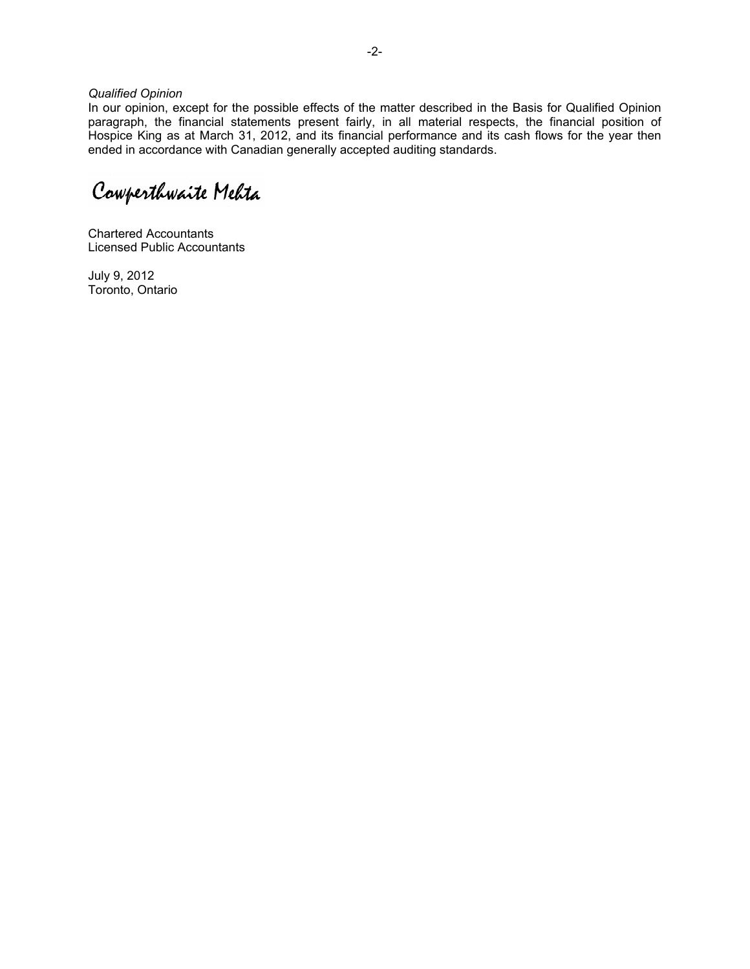#### *Qualified Opinion*

In our opinion, except for the possible effects of the matter described in the Basis for Qualified Opinion paragraph, the financial statements present fairly, in all material respects, the financial position of Hospice King as at March 31, 2012, and its financial performance and its cash flows for the year then ended in accordance with Canadian generally accepted auditing standards.

Comperthwaite Mehta

Chartered Accountants Licensed Public Accountants

July 9, 2012 Toronto, Ontario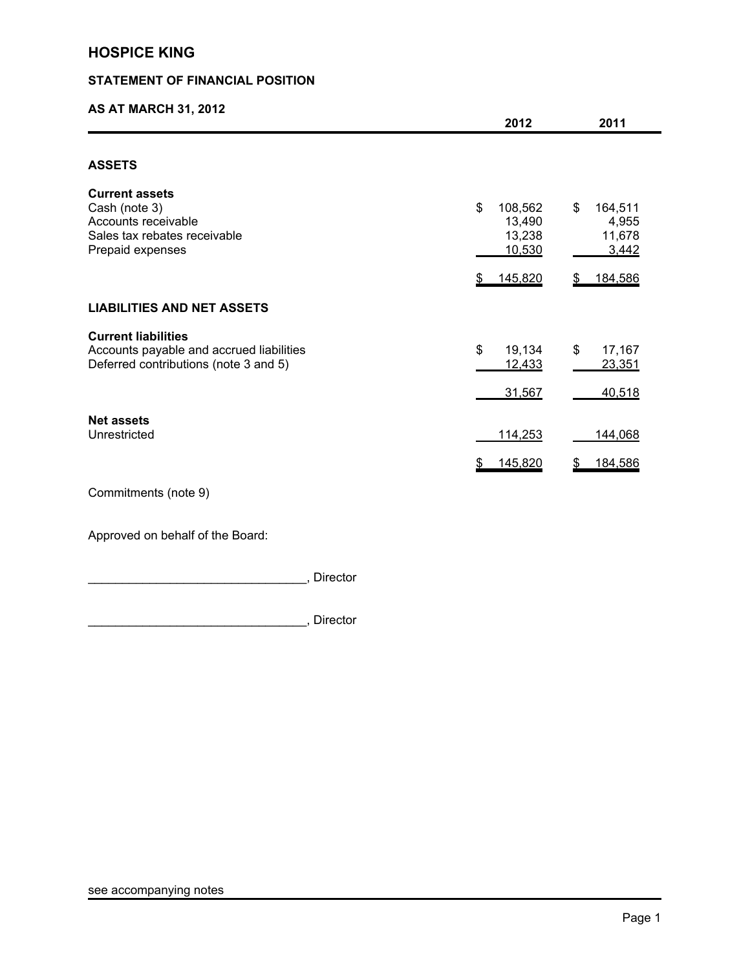# **STATEMENT OF FINANCIAL POSITION**

## **AS AT MARCH 31, 2012**

|                                                                                                                   | 2012                                        | 2011                                           |
|-------------------------------------------------------------------------------------------------------------------|---------------------------------------------|------------------------------------------------|
| <b>ASSETS</b>                                                                                                     |                                             |                                                |
| <b>Current assets</b><br>Cash (note 3)<br>Accounts receivable<br>Sales tax rebates receivable<br>Prepaid expenses | \$<br>108,562<br>13,490<br>13,238<br>10,530 | \$<br>164,511<br>4,955<br>11,678<br>3,442      |
|                                                                                                                   | 145,820                                     | <u>184,586</u>                                 |
| <b>LIABILITIES AND NET ASSETS</b>                                                                                 |                                             |                                                |
| <b>Current liabilities</b><br>Accounts payable and accrued liabilities<br>Deferred contributions (note 3 and 5)   | \$<br>19,134<br>12,433<br>31,567            | \$<br>17,167<br><u>23,351</u><br><u>40,518</u> |
| Net assets<br>Unrestricted                                                                                        | 114,253<br>145,820<br>\$                    | 144,068<br><u>184,586</u>                      |

Commitments (note 9)

Approved on behalf of the Board:

\_\_\_\_\_\_\_\_\_\_\_\_\_\_\_\_\_\_\_\_\_\_\_\_\_\_\_\_\_\_\_\_, Director

\_\_\_\_\_\_\_\_\_\_\_\_\_\_\_\_\_\_\_\_\_\_\_\_\_\_\_\_\_\_\_\_, Director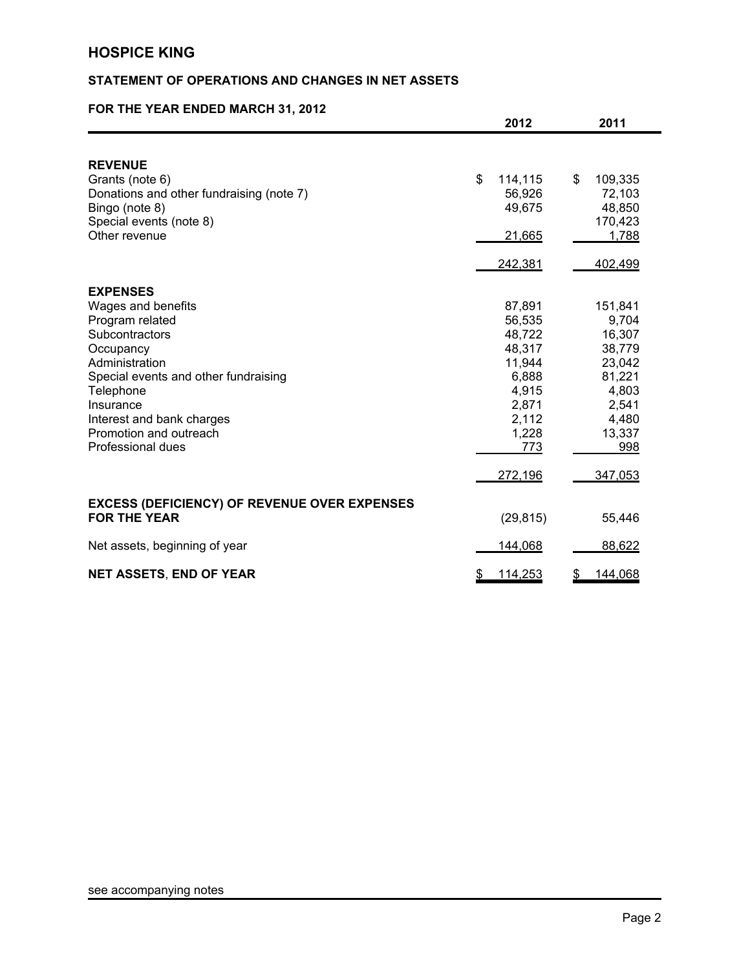# **STATEMENT OF OPERATIONS AND CHANGES IN NET ASSETS**

# **FOR THE YEAR ENDED MARCH 31, 2012**

|                                                     | 2012          | 2011             |
|-----------------------------------------------------|---------------|------------------|
|                                                     |               |                  |
| <b>REVENUE</b>                                      |               |                  |
| Grants (note 6)                                     | \$<br>114,115 | \$<br>109,335    |
| Donations and other fundraising (note 7)            | 56,926        | 72,103           |
| Bingo (note 8)                                      | 49,675        | 48,850           |
| Special events (note 8)<br>Other revenue            | 21,665        | 170,423<br>1,788 |
|                                                     |               |                  |
|                                                     | 242,381       | 402,499          |
| <b>EXPENSES</b>                                     |               |                  |
| Wages and benefits                                  | 87,891        | 151,841          |
| Program related                                     | 56,535        | 9,704            |
| Subcontractors                                      | 48,722        | 16,307           |
| Occupancy                                           | 48,317        | 38,779           |
| Administration                                      | 11,944        | 23,042           |
| Special events and other fundraising                | 6,888         | 81,221           |
| Telephone                                           | 4,915         | 4,803            |
| Insurance                                           | 2,871         | 2,541            |
| Interest and bank charges                           | 2,112         | 4,480            |
| Promotion and outreach<br>Professional dues         | 1,228         | 13,337           |
|                                                     | 773           | 998              |
|                                                     | 272,196       | 347,053          |
| <b>EXCESS (DEFICIENCY) OF REVENUE OVER EXPENSES</b> |               |                  |
| <b>FOR THE YEAR</b>                                 | (29, 815)     | 55,446           |
| Net assets, beginning of year                       | 144,068       | 88,622           |
| <b>NET ASSETS, END OF YEAR</b>                      | \$<br>114,253 | \$<br>144,068    |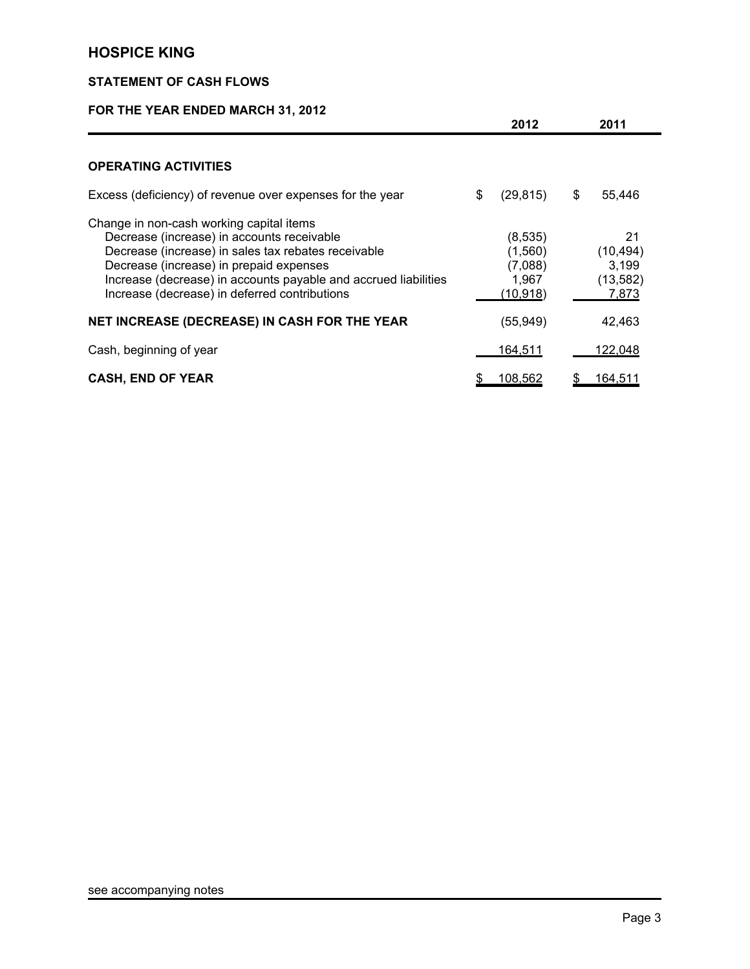# **STATEMENT OF CASH FLOWS**

# **FOR THE YEAR ENDED MARCH 31, 2012**

|                                                                                                                                                                                                                                                                                                              | 2012                                                |    | 2011                                           |
|--------------------------------------------------------------------------------------------------------------------------------------------------------------------------------------------------------------------------------------------------------------------------------------------------------------|-----------------------------------------------------|----|------------------------------------------------|
| <b>OPERATING ACTIVITIES</b>                                                                                                                                                                                                                                                                                  |                                                     |    |                                                |
| Excess (deficiency) of revenue over expenses for the year                                                                                                                                                                                                                                                    | \$<br>(29, 815)                                     | \$ | 55,446                                         |
| Change in non-cash working capital items<br>Decrease (increase) in accounts receivable<br>Decrease (increase) in sales tax rebates receivable<br>Decrease (increase) in prepaid expenses<br>Increase (decrease) in accounts payable and accrued liabilities<br>Increase (decrease) in deferred contributions | (8,535)<br>(1,560)<br>(7,088)<br>1,967<br>(10, 918) |    | 21<br>(10, 494)<br>3,199<br>(13, 582)<br>7,873 |
| NET INCREASE (DECREASE) IN CASH FOR THE YEAR                                                                                                                                                                                                                                                                 | (55, 949)                                           |    | 42,463                                         |
| Cash, beginning of year                                                                                                                                                                                                                                                                                      | 164,511                                             |    | 122,048                                        |
| <b>CASH, END OF YEAR</b>                                                                                                                                                                                                                                                                                     | \$<br>108,562                                       | S. | 164,511                                        |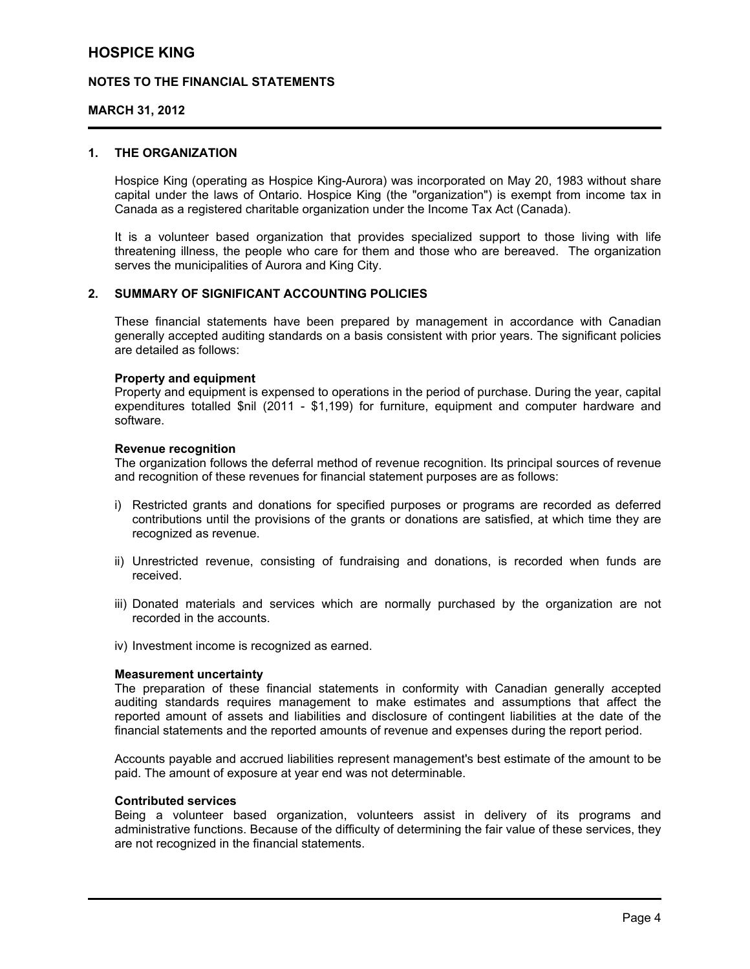#### **NOTES TO THE FINANCIAL STATEMENTS**

#### **MARCH 31, 2012**

#### **1. THE ORGANIZATION**

Hospice King (operating as Hospice King-Aurora) was incorporated on May 20, 1983 without share capital under the laws of Ontario. Hospice King (the "organization") is exempt from income tax in Canada as a registered charitable organization under the Income Tax Act (Canada).

It is a volunteer based organization that provides specialized support to those living with life threatening illness, the people who care for them and those who are bereaved. The organization serves the municipalities of Aurora and King City.

#### **2. SUMMARY OF SIGNIFICANT ACCOUNTING POLICIES**

These financial statements have been prepared by management in accordance with Canadian generally accepted auditing standards on a basis consistent with prior years. The significant policies are detailed as follows:

#### **Property and equipment**

Property and equipment is expensed to operations in the period of purchase. During the year, capital expenditures totalled \$nil (2011 - \$1,199) for furniture, equipment and computer hardware and software.

#### **Revenue recognition**

The organization follows the deferral method of revenue recognition. Its principal sources of revenue and recognition of these revenues for financial statement purposes are as follows:

- i) Restricted grants and donations for specified purposes or programs are recorded as deferred contributions until the provisions of the grants or donations are satisfied, at which time they are recognized as revenue.
- ii) Unrestricted revenue, consisting of fundraising and donations, is recorded when funds are received.
- iii) Donated materials and services which are normally purchased by the organization are not recorded in the accounts.
- iv) Investment income is recognized as earned.

#### **Measurement uncertainty**

The preparation of these financial statements in conformity with Canadian generally accepted auditing standards requires management to make estimates and assumptions that affect the reported amount of assets and liabilities and disclosure of contingent liabilities at the date of the financial statements and the reported amounts of revenue and expenses during the report period.

Accounts payable and accrued liabilities represent management's best estimate of the amount to be paid. The amount of exposure at year end was not determinable.

#### **Contributed services**

Being a volunteer based organization, volunteers assist in delivery of its programs and administrative functions. Because of the difficulty of determining the fair value of these services, they are not recognized in the financial statements.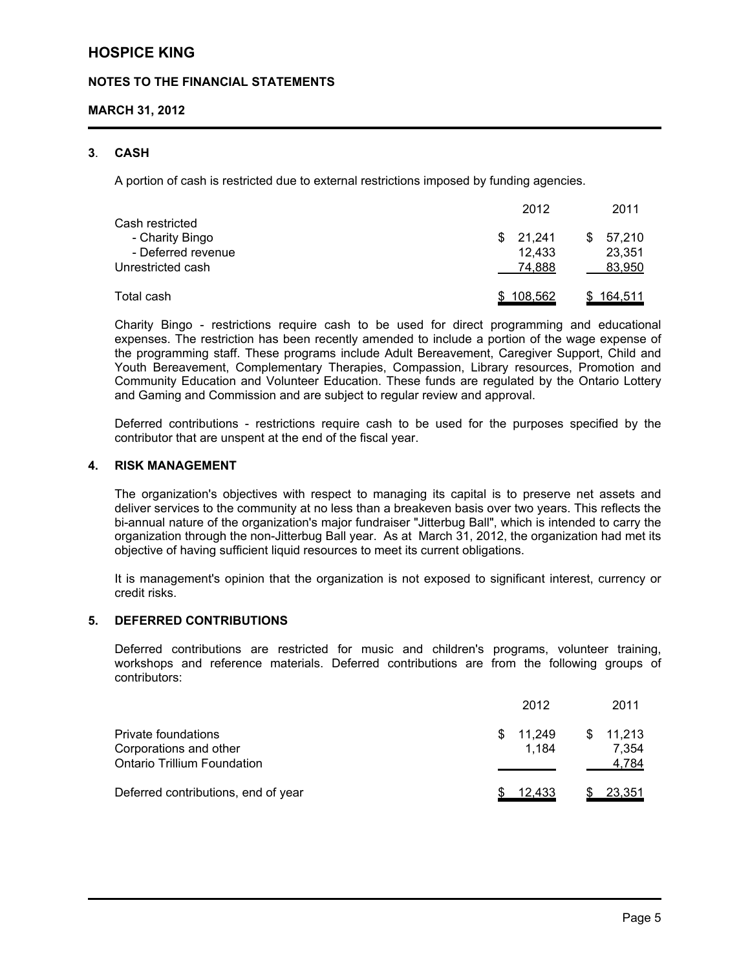### **NOTES TO THE FINANCIAL STATEMENTS**

## **MARCH 31, 2012**

### **3**. **CASH**

A portion of cash is restricted due to external restrictions imposed by funding agencies.

|                    | 2012         | 2011          |
|--------------------|--------------|---------------|
| Cash restricted    |              |               |
| - Charity Bingo    | 21.241<br>S. | 57.210<br>S.  |
| - Deferred revenue | 12.433       | 23,351        |
| Unrestricted cash  | 74,888       | <u>83,950</u> |
| Total cash         | \$108.562    | 164.511       |

Charity Bingo - restrictions require cash to be used for direct programming and educational expenses. The restriction has been recently amended to include a portion of the wage expense of the programming staff. These programs include Adult Bereavement, Caregiver Support, Child and Youth Bereavement, Complementary Therapies, Compassion, Library resources, Promotion and Community Education and Volunteer Education. These funds are regulated by the Ontario Lottery and Gaming and Commission and are subject to regular review and approval.

Deferred contributions - restrictions require cash to be used for the purposes specified by the contributor that are unspent at the end of the fiscal year.

#### **4. RISK MANAGEMENT**

The organization's objectives with respect to managing its capital is to preserve net assets and deliver services to the community at no less than a breakeven basis over two years. This reflects the bi-annual nature of the organization's major fundraiser "Jitterbug Ball", which is intended to carry the organization through the non-Jitterbug Ball year. As at March 31, 2012, the organization had met its objective of having sufficient liquid resources to meet its current obligations.

It is management's opinion that the organization is not exposed to significant interest, currency or credit risks.

## **5. DEFERRED CONTRIBUTIONS**

Deferred contributions are restricted for music and children's programs, volunteer training, workshops and reference materials. Deferred contributions are from the following groups of contributors:

|                                                                                     | 2012               |     | 2011                       |
|-------------------------------------------------------------------------------------|--------------------|-----|----------------------------|
| Private foundations<br>Corporations and other<br><b>Ontario Trillium Foundation</b> | \$ 11.249<br>1.184 |     | \$11,213<br>7,354<br>4.784 |
| Deferred contributions, end of year                                                 | 12,433             | SS. | <u>23,351</u>              |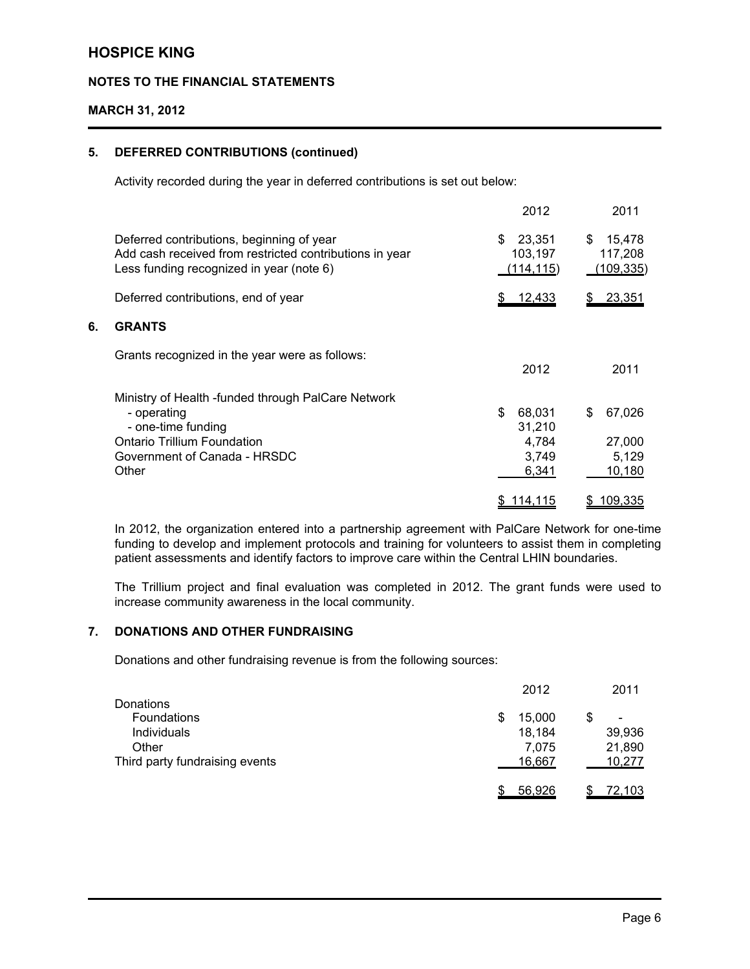## **NOTES TO THE FINANCIAL STATEMENTS**

## **MARCH 31, 2012**

**6. GRANTS**

#### **5. DEFERRED CONTRIBUTIONS (continued)**

Activity recorded during the year in deferred contributions is set out below:

|                                                                                                                                                                        | 2012                                              | 2011                                      |
|------------------------------------------------------------------------------------------------------------------------------------------------------------------------|---------------------------------------------------|-------------------------------------------|
| Deferred contributions, beginning of year<br>Add cash received from restricted contributions in year<br>Less funding recognized in year (note 6)                       | \$<br>23,351<br>103,197<br>(114, 115)             | \$<br>15,478<br>117,208<br>(109, 335)     |
| Deferred contributions, end of year                                                                                                                                    | <u>12,433</u><br>S                                | <u>23,351</u><br>S                        |
| <b>GRANTS</b>                                                                                                                                                          |                                                   |                                           |
| Grants recognized in the year were as follows:                                                                                                                         | 2012                                              | 2011                                      |
| Ministry of Health -funded through PalCare Network<br>- operating<br>- one-time funding<br><b>Ontario Trillium Foundation</b><br>Government of Canada - HRSDC<br>Other | \$<br>68,031<br>31,210<br>4,784<br>3,749<br>6,341 | \$<br>67,026<br>27,000<br>5,129<br>10,180 |
|                                                                                                                                                                        | \$114,115                                         | 109,335<br>S.                             |

In 2012, the organization entered into a partnership agreement with PalCare Network for one-time funding to develop and implement protocols and training for volunteers to assist them in completing patient assessments and identify factors to improve care within the Central LHIN boundaries.

The Trillium project and final evaluation was completed in 2012. The grant funds were used to increase community awareness in the local community.

## **7. DONATIONS AND OTHER FUNDRAISING**

Donations and other fundraising revenue is from the following sources:

|                                | 2012         |   | 2011          |
|--------------------------------|--------------|---|---------------|
| Donations                      |              |   |               |
| Foundations                    | \$<br>15,000 | S |               |
| Individuals                    | 18,184       |   | 39,936        |
| Other                          | 7.075        |   | 21,890        |
| Third party fundraising events | 16,667       |   | 10,277        |
|                                | 56,926       |   | <u>72,103</u> |